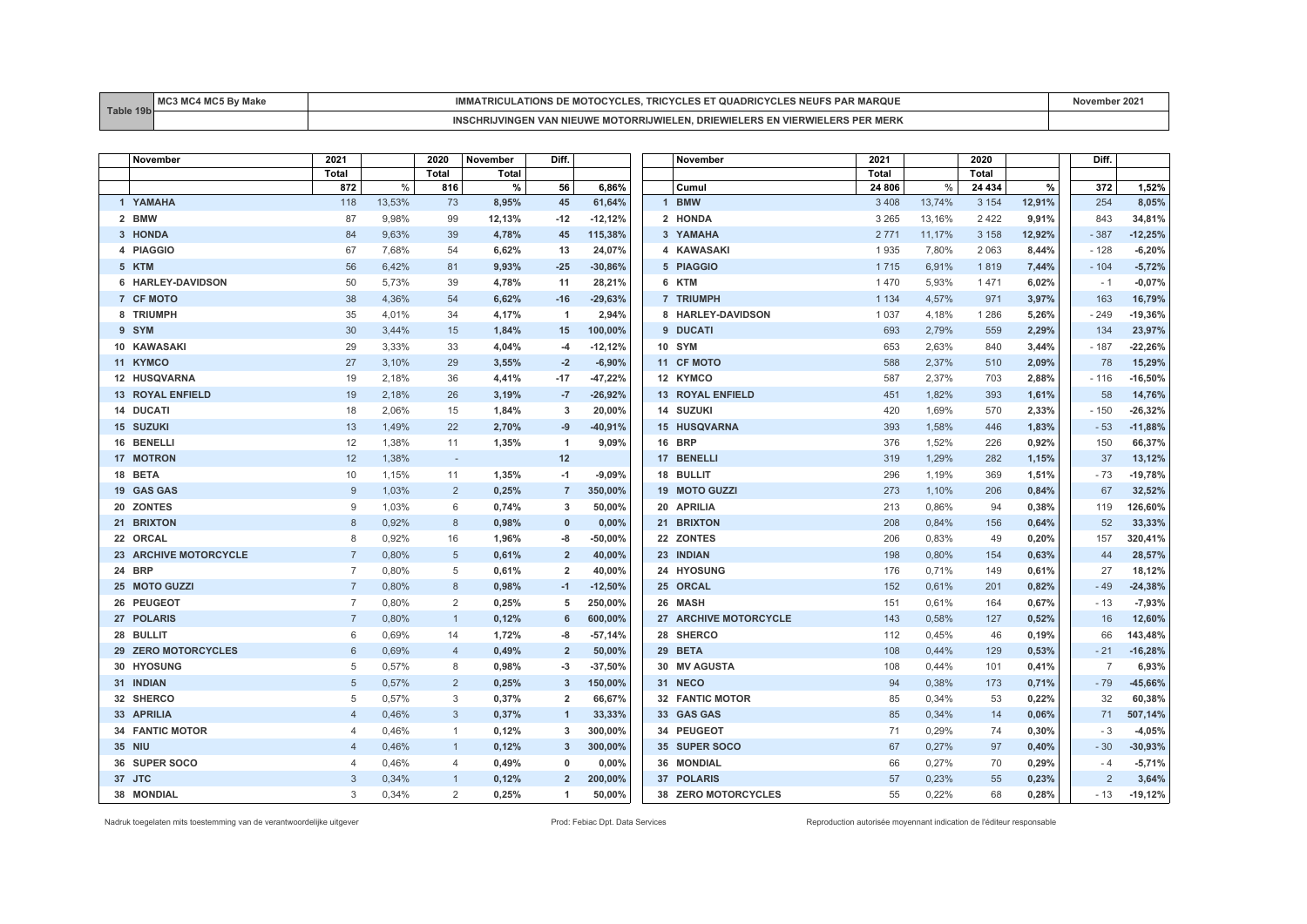| Table<br>$-40k$ | <b>MC</b><br>$M$ $\sim$<br>маке<br><b>IVI</b><br>$\mathbf{w}$ | <b>MOTOCYCL</b><br>$\sim$<br>NF<br>TRICULATIONS DE<br><b>AROUL</b><br>אזואו אי<br>URIL YLLE                                                | vember 2021 |
|-----------------|---------------------------------------------------------------|--------------------------------------------------------------------------------------------------------------------------------------------|-------------|
|                 |                                                               | JWIFL FN<br><b>DRIEWIELERS</b><br>, EN VIER'<br><b>MOTORRIJWII</b><br><b>MERK</b><br>- 00<br><b>CHRIJVINGEN VAN</b><br>-liwi<br>17. V V 11 |             |

| November                | 2021           |        | 2020           | November | Diff.          |            | November                   | 2021    |        | 2020    |        | Diff.          |           |
|-------------------------|----------------|--------|----------------|----------|----------------|------------|----------------------------|---------|--------|---------|--------|----------------|-----------|
|                         | <b>Total</b>   |        | <b>Total</b>   | Total    |                |            |                            | Total   |        | Total   |        |                |           |
|                         | 872            | $\%$   | 816            | %        | 56             | 6,86%      | Cumul                      | 24 806  | $\%$   | 24 434  | %      | 372            | 1,52%     |
| 1 YAMAHA                | 118            | 13,53% | 73             | 8,95%    | 45             | 61,64%     | <b>BMW</b><br>$\mathbf{1}$ | 3 4 0 8 | 13,74% | 3 1 5 4 | 12,91% | 254            | 8,05%     |
| 2 BMW                   | 87             | 9,98%  | 99             | 12,13%   | $-12$          | $-12,12%$  | 2 HONDA                    | 3 2 6 5 | 13,16% | 2 4 2 2 | 9,91%  | 843            | 34,81%    |
| 3 HONDA                 | 84             | 9,63%  | 39             | 4,78%    | 45             | 115,38%    | 3 YAMAHA                   | 2 7 7 1 | 11,17% | 3 1 5 8 | 12,92% | $-387$         | $-12,25%$ |
| 4 PIAGGIO               | 67             | 7,68%  | 54             | 6,62%    | 13             | 24,07%     | 4 KAWASAKI                 | 1935    | 7,80%  | 2 0 6 3 | 8,44%  | $-128$         | $-6,20%$  |
| 5 KTM                   | 56             | 6.42%  | 81             | 9,93%    | $-25$          | $-30,86%$  | 5 PIAGGIO                  | 1715    | 6,91%  | 1819    | 7,44%  | $-104$         | $-5,72%$  |
| 6 HARLEY-DAVIDSON       | 50             | 5,73%  | 39             | 4,78%    | 11             | 28,21%     | 6 KTM                      | 1470    | 5,93%  | 1471    | 6,02%  | $-1$           | $-0,07%$  |
| 7 CF MOTO               | 38             | 4,36%  | 54             | 6,62%    | $-16$          | $-29,63%$  | 7 TRIUMPH                  | 1 1 3 4 | 4,57%  | 971     | 3,97%  | 163            | 16,79%    |
| 8 TRIUMPH               | 35             | 4,01%  | 34             | 4,17%    | $\overline{1}$ | 2,94%      | 8 HARLEY-DAVIDSON          | 1 0 3 7 | 4,18%  | 1 2 8 6 | 5,26%  | $-249$         | $-19,36%$ |
| 9 SYM                   | 30             | 3,44%  | 15             | 1,84%    | 15             | 100,00%    | 9 DUCATI                   | 693     | 2,79%  | 559     | 2,29%  | 134            | 23,97%    |
| 10 KAWASAKI             | 29             | 3,33%  | 33             | 4,04%    | $-4$           | $-12,12%$  | <b>10 SYM</b>              | 653     | 2,63%  | 840     | 3,44%  | $-187$         | $-22,26%$ |
| 11 KYMCO                | 27             | 3,10%  | 29             | 3,55%    | $-2$           | $-6,90%$   | 11 CF MOTO                 | 588     | 2,37%  | 510     | 2,09%  | 78             | 15,29%    |
| <b>12 HUSQVARNA</b>     | 19             | 2,18%  | 36             | 4,41%    | $-17$          | $-47,22%$  | 12 KYMCO                   | 587     | 2,37%  | 703     | 2,88%  | $-116$         | $-16,50%$ |
| <b>13 ROYAL ENFIELD</b> | 19             | 2,18%  | 26             | 3,19%    | $-7$           | $-26,92%$  | <b>13 ROYAL ENFIELD</b>    | 451     | 1,82%  | 393     | 1,61%  | 58             | 14,76%    |
| 14 DUCATI               | 18             | 2.06%  | 15             | 1,84%    | 3              | 20,00%     | 14 SUZUKI                  | 420     | 1,69%  | 570     | 2,33%  | $-150$         | $-26,32%$ |
| <b>15 SUZUKI</b>        | 13             | 1,49%  | 22             | 2,70%    | $-9$           | $-40,91%$  | <b>15 HUSQVARNA</b>        | 393     | 1,58%  | 446     | 1,83%  | $-53$          | $-11,88%$ |
| 16 BENELLI              | 12             | 1,38%  | 11             | 1,35%    | $\mathbf{1}$   | 9,09%      | <b>16 BRP</b>              | 376     | 1,52%  | 226     | 0,92%  | 150            | 66,37%    |
| <b>17 MOTRON</b>        | 12             | 1,38%  | $\sim$         |          | 12             |            | 17 BENELLI                 | 319     | 1,29%  | 282     | 1,15%  | 37             | 13,12%    |
| 18 BETA                 | 10             | 1,15%  | 11             | 1,35%    | $-1$           | $-9,09%$   | 18 BULLIT                  | 296     | 1,19%  | 369     | 1,51%  | $-73$          | $-19,78%$ |
| 19 GAS GAS              | 9              | 1,03%  | 2              | 0,25%    | $\overline{7}$ | 350,00%    | 19 MOTO GUZZI              | 273     | 1,10%  | 206     | 0,84%  | 67             | 32,52%    |
| 20 ZONTES               | 9              | 1,03%  | 6              | 0,74%    | 3              | 50,00%     | 20 APRILIA                 | 213     | 0,86%  | 94      | 0,38%  | 119            | 126,60%   |
| 21 BRIXTON              | 8              | 0,92%  | 8              | 0,98%    | $\mathbf{0}$   | 0,00%      | 21 BRIXTON                 | 208     | 0,84%  | 156     | 0,64%  | 52             | 33,33%    |
| 22 ORCAL                | $\mathsf{R}$   | 0,92%  | 16             | 1,96%    | -8             | $-50,00\%$ | 22 ZONTES                  | 206     | 0,83%  | 49      | 0,20%  | 157            | 320,41%   |
| 23 ARCHIVE MOTORCYCLE   | $\overline{7}$ | 0,80%  | 5              | 0,61%    | $\overline{2}$ | 40,00%     | 23 INDIAN                  | 198     | 0,80%  | 154     | 0,63%  | 44             | 28,57%    |
| 24 BRP                  | $\overline{7}$ | 0,80%  | 5              | 0,61%    | $\overline{2}$ | 40,00%     | 24 HYOSUNG                 | 176     | 0,71%  | 149     | 0,61%  | 27             | 18,12%    |
| 25 MOTO GUZZI           | $\overline{7}$ | 0,80%  | 8              | 0,98%    | $-1$           | $-12,50%$  | 25 ORCAL                   | 152     | 0,61%  | 201     | 0,82%  | $-49$          | $-24,38%$ |
| 26 PEUGEOT              | $\overline{7}$ | 0,80%  | 2              | 0,25%    | 5              | 250,00%    | 26 MASH                    | 151     | 0,61%  | 164     | 0,67%  | $-13$          | $-7,93%$  |
| 27 POLARIS              | $\overline{7}$ | 0,80%  | $\overline{1}$ | 0,12%    | 6              | 600,00%    | 27 ARCHIVE MOTORCYCLE      | 143     | 0,58%  | 127     | 0,52%  | 16             | 12,60%    |
| 28 BULLIT               | 6              | 0.69%  | 14             | 1,72%    | -8             | $-57,14%$  | 28 SHERCO                  | 112     | 0,45%  | 46      | 0,19%  | 66             | 143,48%   |
| 29 ZERO MOTORCYCLES     | 6              | 0,69%  | $\overline{4}$ | 0,49%    | $\overline{2}$ | 50,00%     | 29 BETA                    | 108     | 0,44%  | 129     | 0,53%  | $-21$          | $-16,28%$ |
| 30 HYOSUNG              | 5              | 0,57%  | 8              | 0,98%    | $-3$           | $-37,50%$  | 30 MV AGUSTA               | 108     | 0,44%  | 101     | 0,41%  | $\overline{7}$ | 6,93%     |
| 31 INDIAN               | 5              | 0.57%  | 2              | 0,25%    | 3              | 150,00%    | 31 NECO                    | 94      | 0.38%  | 173     | 0,71%  | $-79$          | $-45,66%$ |
| 32 SHERCO               | 5              | 0,57%  | 3              | 0,37%    | $\overline{2}$ | 66,67%     | 32 FANTIC MOTOR            | 85      | 0,34%  | 53      | 0,22%  | 32             | 60,38%    |
| 33 APRILIA              | $\overline{4}$ | 0.46%  | 3              | 0,37%    | $\mathbf{1}$   | 33,33%     | 33 GAS GAS                 | 85      | 0,34%  | 14      | 0,06%  | 71             | 507,14%   |
| 34 FANTIC MOTOR         | $\overline{4}$ | 0,46%  | $\mathbf{1}$   | 0,12%    | 3              | 300,00%    | 34 PEUGEOT                 | 71      | 0,29%  | 74      | 0,30%  | $-3$           | $-4,05%$  |
| <b>35 NIU</b>           | $\overline{4}$ | 0,46%  |                | 0,12%    | 3              | 300,00%    | 35 SUPER SOCO              | 67      | 0,27%  | 97      | 0,40%  | $-30$          | $-30,93%$ |
| 36 SUPER SOCO           | $\overline{4}$ | 0,46%  | $\overline{4}$ | 0,49%    | 0              | 0,00%      | 36 MONDIAL                 | 66      | 0,27%  | 70      | 0,29%  | $-4$           | $-5,71%$  |
| 37 JTC                  | 3              | 0,34%  | -1             | 0,12%    | $\overline{2}$ | 200,00%    | 37 POLARIS                 | 57      | 0,23%  | 55      | 0,23%  | $\overline{2}$ | 3,64%     |
| <b>38 MONDIAL</b>       | 3              | 0.34%  | 2              | 0,25%    | 1              | 50,00%     | 38 ZERO MOTORCYCLES        | 55      | 0,22%  | 68      | 0.28%  | $-13$          | $-19,12%$ |

Nadruk toegelaten mits toestemming van de verantwoordelijke uitgever entered enter enter enter a metaleur enter autorisée Prod: Febiac Dpt. Data Services Reproduction autorisée moyennant indication de l'éditeur responsable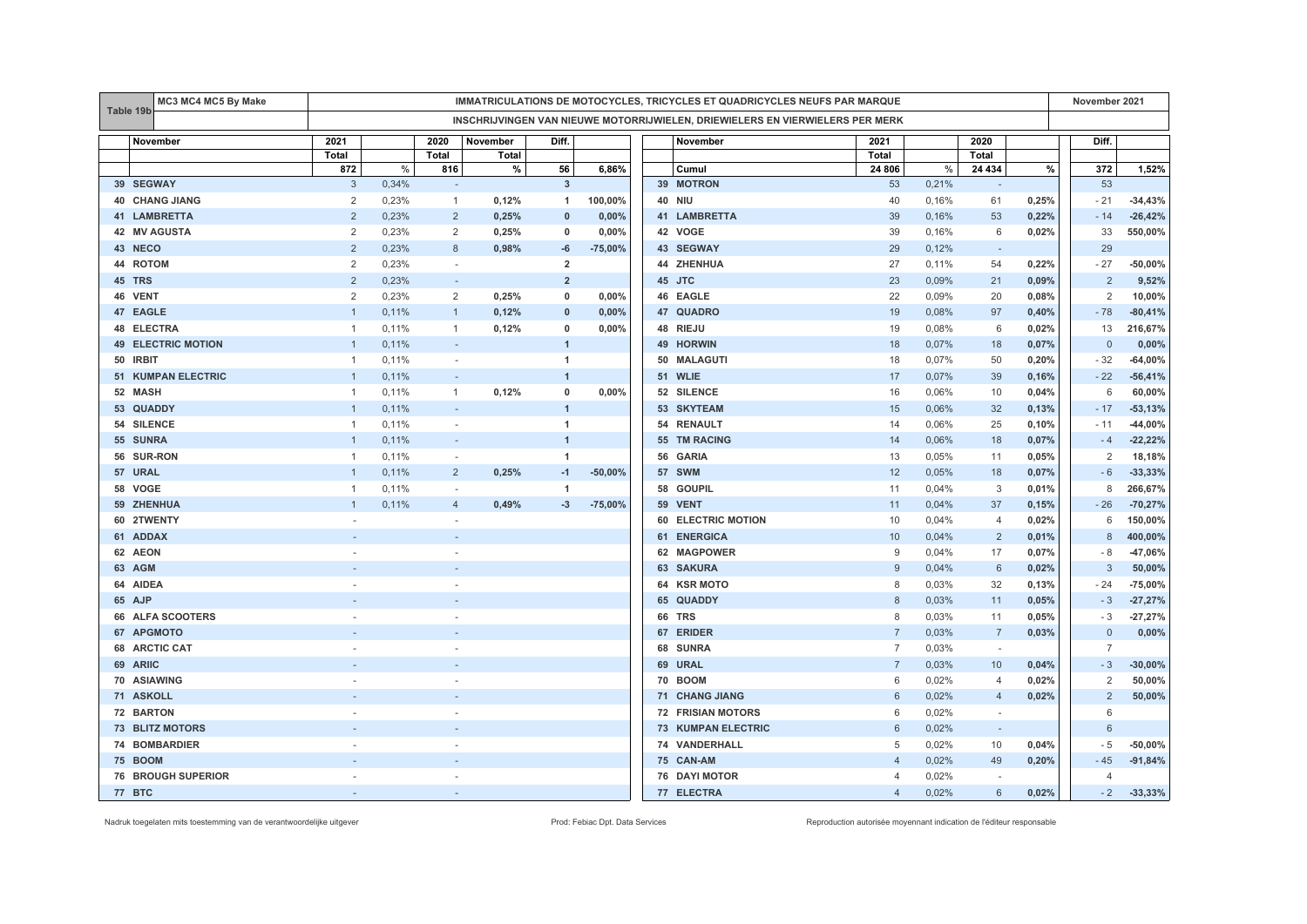|                | MC3 MC4 MC5 By Make       | IMMATRICULATIONS DE MOTOCYCLES, TRICYCLES ET QUADRICYCLES NEUFS PAR MARQUE |       |                          |          |                |           |    |                                                                               |                |       | November 2021            |       |                |            |
|----------------|---------------------------|----------------------------------------------------------------------------|-------|--------------------------|----------|----------------|-----------|----|-------------------------------------------------------------------------------|----------------|-------|--------------------------|-------|----------------|------------|
| Table 19b      |                           |                                                                            |       |                          |          |                |           |    | INSCHRIJVINGEN VAN NIEUWE MOTORRIJWIELEN, DRIEWIELERS EN VIERWIELERS PER MERK |                |       |                          |       |                |            |
|                | November                  | 2021                                                                       |       | 2020                     | November | Diff.          |           |    | November                                                                      | 2021           |       | 2020                     |       | Diff.          |            |
|                |                           | Total                                                                      |       | Total                    | Total    |                |           |    |                                                                               | Total          |       | Total                    |       |                |            |
|                |                           | 872                                                                        | %     | 816                      | $\%$     | 56             | 6,86%     |    | Cumul                                                                         | 24 806         | %     | 24 434                   | %     | 372            | 1,52%      |
|                | 39 SEGWAY                 | 3                                                                          | 0,34% | $\sim$                   |          | $\overline{3}$ |           |    | 39 MOTRON                                                                     | 53             | 0,21% |                          |       | 53             |            |
|                | <b>40 CHANG JIANG</b>     | $\overline{2}$                                                             | 0,23% | $\mathbf{1}$             | 0,12%    | $\overline{1}$ | 100,00%   |    | <b>40 NIU</b>                                                                 | 40             | 0,16% | 61                       | 0,25% | $-21$          | $-34,43%$  |
|                | <b>41 LAMBRETTA</b>       | 2                                                                          | 0,23% | $\overline{2}$           | 0,25%    | $\mathbf{0}$   | 0,00%     |    | 41 LAMBRETTA                                                                  | 39             | 0,16% | 53                       | 0,22% | $-14$          | $-26,42%$  |
| 42             | <b>MV AGUSTA</b>          | 2                                                                          | 0,23% | 2                        | 0,25%    | 0              | 0,00%     |    | 42 VOGE                                                                       | 39             | 0,16% | 6                        | 0,02% | 33             | 550,00%    |
| 43 NECO        |                           | $\overline{2}$                                                             | 0,23% | 8                        | 0,98%    | -6             | $-75,00%$ |    | 43 SEGWAY                                                                     | 29             | 0,12% | ۰                        |       | 29             |            |
| 44 ROTOM       |                           | $\overline{c}$                                                             | 0,23% | $\sim$                   |          | $\overline{2}$ |           |    | 44 ZHENHUA                                                                    | 27             | 0,11% | 54                       | 0,22% | $-27$          | $-50,00%$  |
| 45 TRS         |                           | 2                                                                          | 0,23% |                          |          | $\overline{2}$ |           |    | 45 JTC                                                                        | 23             | 0,09% | 21                       | 0,09% | $\overline{2}$ | 9,52%      |
| 46 VENT        |                           | 2                                                                          | 0.23% | $\overline{2}$           | 0,25%    | $\mathbf 0$    | 0,00%     |    | 46 EAGLE                                                                      | 22             | 0.09% | 20                       | 0,08% | $\overline{2}$ | 10,00%     |
| 47 EAGLE       |                           | $\overline{1}$                                                             | 0,11% | $\mathbf{1}$             | 0,12%    | $\mathbf{0}$   | 0,00%     |    | 47 QUADRO                                                                     | 19             | 0,08% | 97                       | 0,40% | $-78$          | $-80,41%$  |
| 48             | <b>ELECTRA</b>            | $\overline{1}$                                                             | 0,11% | $\mathbf{1}$             | 0,12%    | $\mathbf 0$    | 0,00%     |    | 48 RIEJU                                                                      | 19             | 0,08% | 6                        | 0,02% | 13             | 216,67%    |
|                | <b>49 ELECTRIC MOTION</b> |                                                                            | 0,11% | $\overline{\phantom{a}}$ |          | $\overline{1}$ |           |    | 49 HORWIN                                                                     | 18             | 0,07% | 18                       | 0,07% | $\mathbf 0$    | 0,00%      |
| 50 IRBIT       |                           | $\mathbf{1}$                                                               | 0,11% | ×.                       |          | $\overline{1}$ |           |    | 50 MALAGUTI                                                                   | 18             | 0,07% | 50                       | 0,20% | $-32$          | $-64,00%$  |
|                | <b>51 KUMPAN ELECTRIC</b> | $\mathbf{1}$                                                               | 0,11% | $\sim$                   |          | $\overline{1}$ |           |    | 51 WLIE                                                                       | 17             | 0,07% | 39                       | 0,16% | $-22$          | $-56,41%$  |
| 52 MASH        |                           | $\overline{1}$                                                             | 0,11% | $\mathbf{1}$             | 0,12%    | $\mathbf 0$    | 0,00%     |    | 52 SILENCE                                                                    | 16             | 0,06% | 10                       | 0,04% | 6              | 60,00%     |
|                | 53 QUADDY                 |                                                                            | 0,11% |                          |          | $\overline{1}$ |           |    | 53 SKYTEAM                                                                    | 15             | 0,06% | 32                       | 0,13% | $-17$          | $-53,13%$  |
|                | 54 SILENCE                |                                                                            | 0,11% |                          |          | $\overline{1}$ |           |    | 54 RENAULT                                                                    | 14             | 0,06% | 25                       | 0,10% | $-11$          | $-44,00\%$ |
| 55 SUNRA       |                           | $\overline{1}$                                                             | 0,11% | $\sim$                   |          | $\overline{1}$ |           |    | 55 TM RACING                                                                  | 14             | 0,06% | 18                       | 0,07% | $-4$           | $-22,22%$  |
|                | 56 SUR-RON                | $\overline{1}$                                                             | 0,11% | $\sim$                   |          | $\overline{1}$ |           |    | 56 GARIA                                                                      | 13             | 0,05% | 11                       | 0,05% | $\overline{2}$ | 18,18%     |
| 57 URAL        |                           |                                                                            | 0,11% | $\overline{2}$           | 0,25%    | $-1$           | $-50,00%$ |    | 57 SWM                                                                        | 12             | 0,05% | 18                       | 0,07% | $-6$           | $-33,33%$  |
| 58             | VOGE                      | -1                                                                         | 0,11% | $\overline{\phantom{a}}$ |          | $\overline{1}$ |           | 58 | <b>GOUPIL</b>                                                                 | 11             | 0,04% | 3                        | 0,01% | 8              | 266,67%    |
|                | 59 ZHENHUA                |                                                                            | 0,11% | $\overline{4}$           | 0,49%    | $-3$           | $-75,00%$ |    | 59 VENT                                                                       | 11             | 0,04% | 37                       | 0,15% | $-26$          | $-70,27%$  |
|                | 60 2TWENTY                |                                                                            |       | $\sim$                   |          |                |           |    | 60 ELECTRIC MOTION                                                            | 10             | 0,04% | $\overline{4}$           | 0,02% | 6              | 150,00%    |
| 61 ADDAX       |                           |                                                                            |       |                          |          |                |           |    | 61 ENERGICA                                                                   | 10             | 0,04% | $\overline{2}$           | 0,01% | 8              | 400,00%    |
| 62 AEON        |                           |                                                                            |       |                          |          |                |           |    | 62 MAGPOWER                                                                   | 9              | 0,04% | 17                       | 0,07% | - 8            | $-47,06%$  |
| 63 AGM         |                           |                                                                            |       |                          |          |                |           |    | 63 SAKURA                                                                     | 9              | 0,04% | 6                        | 0,02% | $\mathbf{3}$   | 50,00%     |
| 64 AIDEA       |                           |                                                                            |       |                          |          |                |           | 64 | <b>KSR MOTO</b>                                                               | 8              | 0,03% | 32                       | 0,13% | $-24$          | $-75,00%$  |
| 65 AJP         |                           |                                                                            |       |                          |          |                |           | 65 | <b>QUADDY</b>                                                                 | 8              | 0,03% | 11                       | 0,05% | $-3$           | $-27,27%$  |
|                | 66 ALFA SCOOTERS          |                                                                            |       |                          |          |                |           |    | 66 TRS                                                                        | 8              | 0,03% | 11                       | 0,05% | $-3$           | $-27,27%$  |
|                | 67 APGMOTO                |                                                                            |       |                          |          |                |           |    | 67 ERIDER                                                                     | $\overline{7}$ | 0,03% | $\overline{7}$           | 0,03% | $\overline{0}$ | 0,00%      |
| 68             | <b>ARCTIC CAT</b>         |                                                                            |       |                          |          |                |           | 68 | <b>SUNRA</b>                                                                  | $\overline{7}$ | 0,03% | $\sim$                   |       | $\overline{7}$ |            |
| 69 ARIIC       |                           |                                                                            |       |                          |          |                |           |    | 69 URAL                                                                       | $\overline{7}$ | 0,03% | 10                       | 0,04% | $-3$           | $-30,00%$  |
|                | 70 ASIAWING               |                                                                            |       |                          |          |                |           |    | 70 BOOM                                                                       | 6              | 0,02% | $\overline{4}$           | 0,02% | 2              | 50,00%     |
| 71 ASKOLL      |                           |                                                                            |       |                          |          |                |           |    | 71 CHANG JIANG                                                                | 6              | 0,02% | $\overline{4}$           | 0,02% | $\overline{2}$ | 50,00%     |
| 72 BARTON      |                           |                                                                            |       |                          |          |                |           |    | <b>72 FRISIAN MOTORS</b>                                                      | 6              | 0,02% | $\sim$                   |       | 6              |            |
|                | <b>73 BLITZ MOTORS</b>    |                                                                            |       |                          |          |                |           |    | 73 KUMPAN ELECTRIC                                                            | 6              | 0,02% |                          |       | 6              |            |
|                | 74 BOMBARDIER             |                                                                            |       |                          |          |                |           |    | 74 VANDERHALL                                                                 | 5              | 0,02% | 10                       | 0,04% | $-5$           | $-50,00%$  |
| <b>75 BOOM</b> |                           |                                                                            |       |                          |          |                |           |    | 75 CAN-AM                                                                     | $\overline{4}$ | 0,02% | 49                       | 0,20% | $-45$          | $-91,84%$  |
|                | <b>76 BROUGH SUPERIOR</b> |                                                                            |       |                          |          |                |           |    | <b>76 DAYI MOTOR</b>                                                          | $\overline{4}$ | 0,02% | $\overline{\phantom{a}}$ |       | $\overline{4}$ |            |
| 77 BTC         |                           |                                                                            |       |                          |          |                |           |    | 77 ELECTRA                                                                    | $\overline{4}$ | 0.02% | 6                        | 0.02% | $-2$           | $-33,33%$  |

Nadruk toegelaten mits toestemming van de verantwoordelijke uitgever entered enter enter enter a metaleur enter autorisée Prod: Febiac Dpt. Data Services Reproduction autorisée moyennant indication de l'éditeur responsable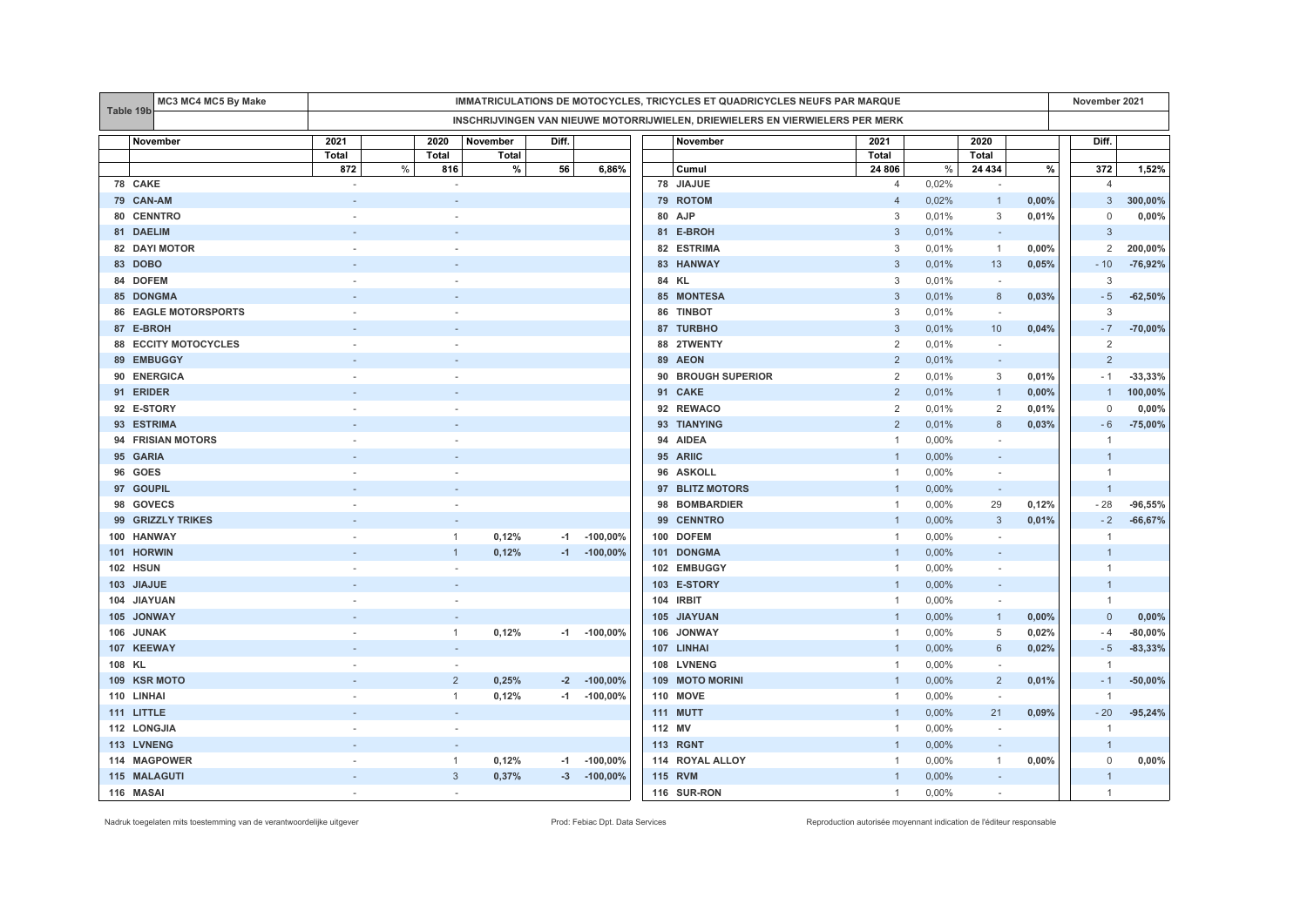| MC3 MC4 MC5 By Make<br>IMMATRICULATIONS DE MOTOCYCLES, TRICYCLES ET QUADRICYCLES NEUFS PAR MARQUE |        |       |                          |       |                  |                                                                               |                |       |                          |       | November 2021  |           |
|---------------------------------------------------------------------------------------------------|--------|-------|--------------------------|-------|------------------|-------------------------------------------------------------------------------|----------------|-------|--------------------------|-------|----------------|-----------|
| Table 19b                                                                                         |        |       |                          |       |                  | INSCHRIJVINGEN VAN NIEUWE MOTORRIJWIELEN, DRIEWIELERS EN VIERWIELERS PER MERK |                |       |                          |       |                |           |
| November                                                                                          | 2021   | 2020  | November                 | Diff. |                  | November                                                                      | 2021           |       | 2020                     |       | Diff.          |           |
|                                                                                                   | Total  | Total | Total                    |       |                  |                                                                               | Total          |       | <b>Total</b>             |       |                |           |
|                                                                                                   | 872    | %     | %<br>816                 | 56    | 6,86%            | Cumul                                                                         | 24 806         | %     | 24 434                   | %     | 372            | 1,52%     |
| 78 CAKE                                                                                           | $\sim$ |       | $\overline{\phantom{a}}$ |       |                  | 78 JIAJUE                                                                     | $\overline{4}$ | 0,02% | $\sim$                   |       | $\overline{4}$ |           |
| 79 CAN-AM                                                                                         |        |       |                          |       |                  | 79 ROTOM                                                                      | $\overline{4}$ | 0,02% | $\overline{1}$           | 0,00% | 3              | 300,00%   |
| 80 CENNTRO                                                                                        |        |       | $\sim$                   |       |                  | 80 AJP                                                                        | 3              | 0,01% | 3                        | 0,01% | 0              | 0,00%     |
| 81 DAELIM                                                                                         |        |       |                          |       |                  | 81 E-BROH                                                                     | 3              | 0,01% | $\sim$                   |       | 3              |           |
| 82 DAYI MOTOR                                                                                     |        |       |                          |       |                  | 82 ESTRIMA                                                                    | 3              | 0,01% | $\overline{1}$           | 0,00% | 2              | 200,00%   |
| 83 DOBO                                                                                           |        |       |                          |       |                  | 83 HANWAY                                                                     | 3              | 0,01% | 13                       | 0,05% | $-10$          | $-76,92%$ |
| 84 DOFEM                                                                                          |        |       |                          |       |                  | 84 KL                                                                         | 3              | 0,01% | $\overline{\phantom{a}}$ |       | 3              |           |
| <b>85 DONGMA</b>                                                                                  |        |       |                          |       |                  | 85 MONTESA                                                                    | 3              | 0,01% | 8                        | 0,03% | $-5$           | $-62,50%$ |
| <b>86 EAGLE MOTORSPORTS</b>                                                                       |        |       |                          |       |                  | 86 TINBOT                                                                     | 3              | 0,01% | $\overline{\phantom{a}}$ |       | 3              |           |
| 87 E-BROH                                                                                         |        |       |                          |       |                  | 87 TURBHO                                                                     | 3              | 0,01% | 10                       | 0,04% | $-7$           | $-70,00%$ |
| <b>88 ECCITY MOTOCYCLES</b>                                                                       |        |       |                          |       |                  | 88 2TWENTY                                                                    | 2              | 0,01% | $\sim$                   |       | $\overline{2}$ |           |
| 89 EMBUGGY                                                                                        |        |       |                          |       |                  | 89 AEON                                                                       | $\overline{2}$ | 0,01% | $\sim$                   |       | $\overline{2}$ |           |
| <b>ENERGICA</b><br>90                                                                             |        |       |                          |       |                  | <b>BROUGH SUPERIOR</b><br>90                                                  | $\overline{2}$ | 0,01% | 3                        | 0,01% | $-1$           | $-33,33%$ |
| 91 ERIDER                                                                                         |        |       |                          |       |                  | 91 CAKE                                                                       | $\overline{2}$ | 0,01% | $\overline{1}$           | 0,00% | $\overline{1}$ | 100,00%   |
| 92 E-STORY                                                                                        |        |       |                          |       |                  | 92 REWACO                                                                     | 2              | 0,01% | 2                        | 0,01% | 0              | $0,00\%$  |
| 93 ESTRIMA                                                                                        |        |       |                          |       |                  | 93 TIANYING                                                                   | $\overline{2}$ | 0,01% | 8                        | 0,03% | $-6$           | $-75,00%$ |
| 94 FRISIAN MOTORS                                                                                 |        |       |                          |       |                  | 94 AIDEA                                                                      | $\mathbf{1}$   | 0,00% |                          |       | $\overline{1}$ |           |
| 95 GARIA                                                                                          |        |       |                          |       |                  | 95 ARIIC                                                                      | $\overline{1}$ | 0,00% |                          |       | $\overline{1}$ |           |
| 96 GOES                                                                                           |        |       |                          |       |                  | 96 ASKOLL                                                                     | $\mathbf{1}$   | 0,00% | $\sim$                   |       | $\mathbf{1}$   |           |
| 97 GOUPIL                                                                                         |        |       |                          |       |                  | 97 BLITZ MOTORS                                                               | $\overline{1}$ | 0,00% | $\sim$                   |       | $\overline{1}$ |           |
| 98 GOVECS                                                                                         |        |       |                          |       |                  | 98 BOMBARDIER                                                                 | $\overline{1}$ | 0,00% | 29                       | 0,12% | $-28$          | $-96,55%$ |
| 99 GRIZZLY TRIKES                                                                                 |        |       |                          |       |                  | 99 CENNTRO                                                                    | $\overline{1}$ | 0,00% | $\mathbf{3}$             | 0,01% | $-2$           | $-66,67%$ |
| <b>HANWAY</b><br>100                                                                              |        |       | 0,12%<br>$\mathbf{1}$    | $-1$  | $-100,00%$       | 100 DOFEM                                                                     | $\mathbf{1}$   | 0,00% | $\sim$                   |       | $\overline{1}$ |           |
| 101 HORWIN                                                                                        |        |       | 0,12%                    |       | $-1$ $-100,00\%$ | 101 DONGMA                                                                    |                | 0,00% |                          |       | $\overline{1}$ |           |
| 102 HSUN                                                                                          |        |       |                          |       |                  | 102 EMBUGGY                                                                   | $\overline{1}$ | 0,00% |                          |       | $\mathbf{1}$   |           |
| 103 JIAJUE                                                                                        |        |       |                          |       |                  | 103 E-STORY                                                                   | $\mathbf{1}$   | 0,00% | $\sim$                   |       | $\overline{1}$ |           |
| 104 JIAYUAN                                                                                       |        |       | $\sim$                   |       |                  | 104 IRBIT                                                                     | $\overline{1}$ | 0,00% | $\sim$                   |       | $\mathbf{1}$   |           |
| 105 JONWAY                                                                                        |        |       |                          |       |                  | 105 JIAYUAN                                                                   | $\overline{1}$ | 0,00% | $\mathbf{1}$             | 0,00% | $\mathbf 0$    | 0,00%     |
| <b>JUNAK</b><br>106                                                                               |        |       | 0,12%<br>1               |       | $-1$ $-100,00\%$ | 106 JONWAY                                                                    | $\mathbf{1}$   | 0,00% | 5                        | 0,02% | $-4$           | $-80,00%$ |
| 107 KEEWAY                                                                                        |        |       |                          |       |                  | 107 LINHAI                                                                    | $\overline{1}$ | 0,00% | 6                        | 0,02% | $-5$           | $-83,33%$ |
| 108 KL                                                                                            |        |       |                          |       |                  | 108 LVNENG                                                                    | $\overline{1}$ | 0,00% | $\overline{a}$           |       | $\overline{1}$ |           |
| <b>KSR MOTO</b><br>109                                                                            |        |       | $\overline{2}$<br>0,25%  | $-2$  | $-100,00\%$      | 109 MOTO MORINI                                                               | $\overline{1}$ | 0,00% | $\overline{2}$           | 0,01% | $-1$           | $-50,00%$ |
| 110 LINHAI                                                                                        |        |       | $\mathbf{1}$<br>0,12%    |       | $-1$ $-100,00\%$ | <b>110 MOVE</b>                                                               | $\mathbf{1}$   | 0,00% |                          |       | $\overline{1}$ |           |
| 111 LITTLE                                                                                        |        |       |                          |       |                  | 111 MUTT                                                                      | $\overline{1}$ | 0,00% | 21                       | 0,09% | $-20$          | $-95,24%$ |
| 112 LONGJIA                                                                                       |        |       | $\sim$                   |       |                  | 112 MV                                                                        | $\mathbf{1}$   | 0,00% | $\sim$                   |       | $\overline{1}$ |           |
| 113 LVNENG                                                                                        |        |       |                          |       |                  | <b>113 RGNT</b>                                                               | $\overline{1}$ | 0,00% | $\sim$                   |       | $\overline{1}$ |           |
| 114 MAGPOWER                                                                                      |        |       | 0,12%<br>1               | -1    | $-100,00\%$      | 114 ROYAL ALLOY                                                               | $\overline{1}$ | 0,00% | $\overline{1}$           | 0,00% | $\mathbf 0$    | $0,00\%$  |
| 115 MALAGUTI                                                                                      |        |       | 0,37%<br>$\mathbf{3}$    |       | $-3 - 100,00\%$  | <b>115 RVM</b>                                                                | -1             | 0,00% | $\sim$                   |       | $\mathbf{1}$   |           |
| 116 MASAI                                                                                         |        |       | $\sim$                   |       |                  | 116 SUR-RON                                                                   | $\mathbf{1}$   | 0,00% | $\sim$                   |       | $\mathbf{1}$   |           |

Nadruk toegelaten mits toestemming van de verantwoordelijke uitgever entered enter enter enter a metaleur enter autorisée Prod: Febiac Dpt. Data Services Reproduction autorisée moyennant indication de l'éditeur responsable